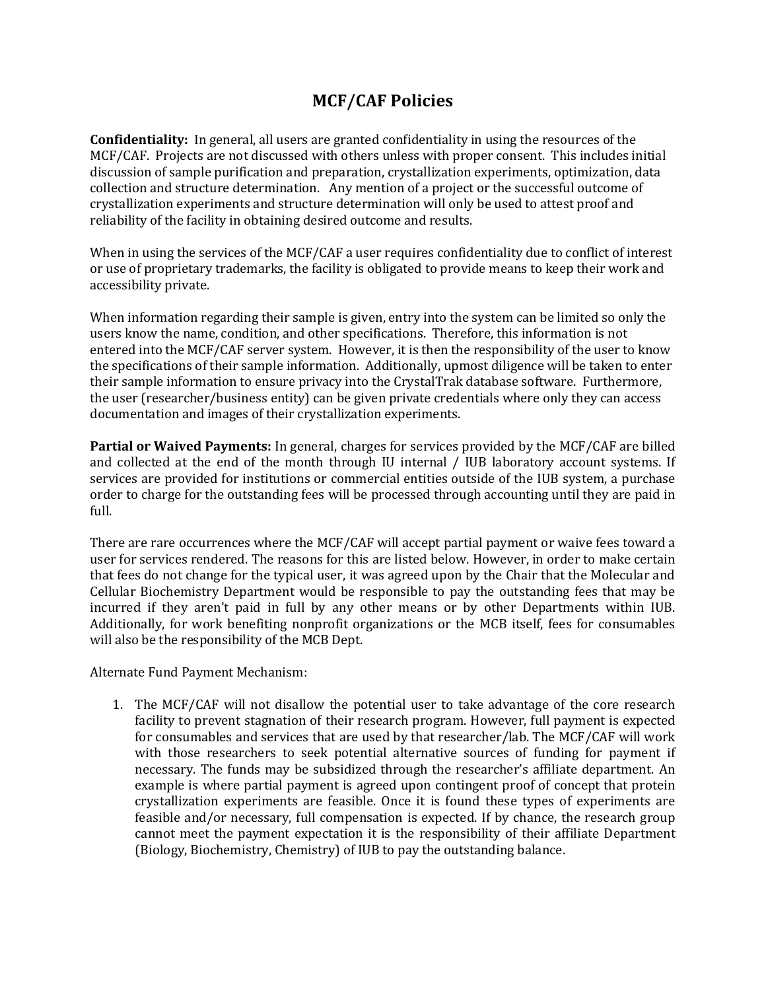## **MCF/CAF Policies**

**Confidentiality:** In general, all users are granted confidentiality in using the resources of the MCF/CAF. Projects are not discussed with others unless with proper consent. This includes initial discussion of sample purification and preparation, crystallization experiments, optimization, data collection and structure determination. Any mention of a project or the successful outcome of crystallization experiments and structure determination will only be used to attest proof and reliability of the facility in obtaining desired outcome and results.

When in using the services of the MCF/CAF a user requires confidentiality due to conflict of interest or use of proprietary trademarks, the facility is obligated to provide means to keep their work and accessibility private.

When information regarding their sample is given, entry into the system can be limited so only the users know the name, condition, and other specifications. Therefore, this information is not entered into the MCF/CAF server system. However, it is then the responsibility of the user to know the specifications of their sample information. Additionally, upmost diligence will be taken to enter their sample information to ensure privacy into the CrystalTrak database software. Furthermore, the user (researcher/business entity) can be given private credentials where only they can access documentation and images of their crystallization experiments.

**Partial or Waived Payments:** In general, charges for services provided by the MCF/CAF are billed and collected at the end of the month through IU internal / IUB laboratory account systems. If services are provided for institutions or commercial entities outside of the IUB system, a purchase order to charge for the outstanding fees will be processed through accounting until they are paid in full.

There are rare occurrences where the MCF/CAF will accept partial payment or waive fees toward a user for services rendered. The reasons for this are listed below. However, in order to make certain that fees do not change for the typical user, it was agreed upon by the Chair that the Molecular and Cellular Biochemistry Department would be responsible to pay the outstanding fees that may be incurred if they aren't paid in full by any other means or by other Departments within IUB. Additionally, for work benefiting nonprofit organizations or the MCB itself, fees for consumables will also be the responsibility of the MCB Dept.

Alternate Fund Payment Mechanism:

1. The MCF/CAF will not disallow the potential user to take advantage of the core research facility to prevent stagnation of their research program. However, full payment is expected for consumables and services that are used by that researcher/lab. The MCF/CAF will work with those researchers to seek potential alternative sources of funding for payment if necessary. The funds may be subsidized through the researcher's affiliate department. An example is where partial payment is agreed upon contingent proof of concept that protein crystallization experiments are feasible. Once it is found these types of experiments are feasible and/or necessary, full compensation is expected. If by chance, the research group cannot meet the payment expectation it is the responsibility of their affiliate Department (Biology, Biochemistry, Chemistry) of IUB to pay the outstanding balance.